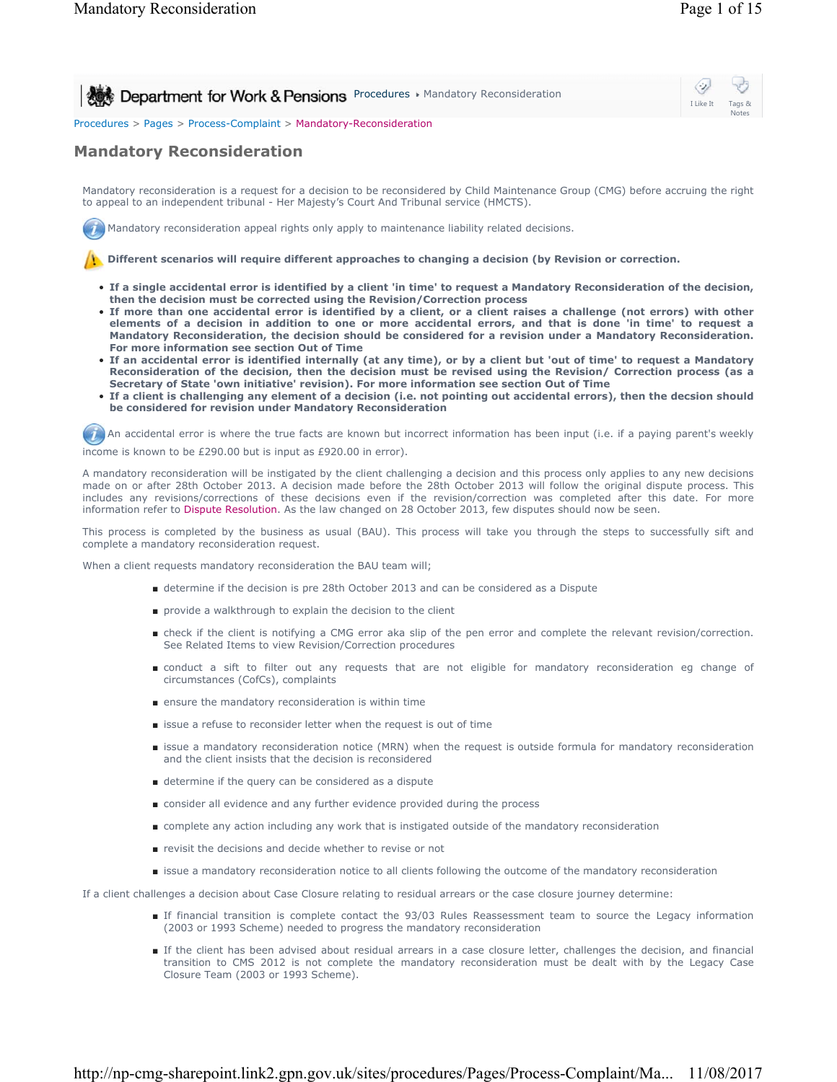I Like It Tags & Notes

⇔

**Procedures Mandatory Reconsideration** 

Procedures > Pages > Process-Complaint > Mandatory-Reconsideration

# **Mandatory Reconsideration**

Mandatory reconsideration is a request for a decision to be reconsidered by Child Maintenance Group (CMG) before accruing the right to appeal to an independent tribunal - Her Majesty's Court And Tribunal service (HMCTS).

Mandatory reconsideration appeal rights only apply to maintenance liability related decisions.

**Publisheral increases will require different approaches to changing a decision (by Revision or correction.** 

- **If a single accidental error is identified by a client 'in time' to request a Mandatory Reconsideration of the decision, then the decision must be corrected using the Revision/Correction process**
- **If more than one accidental error is identified by a client, or a client raises a challenge (not errors) with other elements of a decision in addition to one or more accidental errors, and that is done 'in time' to request a Mandatory Reconsideration, the decision should be considered for a revision under a Mandatory Reconsideration. For more information see section Out of Time**
- **If an accidental error is identified internally (at any time), or by a client but 'out of time' to request a Mandatory Reconsideration of the decision, then the decision must be revised using the Revision/ Correction process (as a Secretary of State 'own initiative' revision). For more information see section Out of Time**
- **If a client is challenging any element of a decision (i.e. not pointing out accidental errors), then the decsion should be considered for revision under Mandatory Reconsideration**

An accidental error is where the true facts are known but incorrect information has been input (i.e. if a paying parent's weekly income is known to be £290.00 but is input as £920.00 in error).

A mandatory reconsideration will be instigated by the client challenging a decision and this process only applies to any new decisions made on or after 28th October 2013. A decision made before the 28th October 2013 will follow the original dispute process. This includes any revisions/corrections of these decisions even if the revision/correction was completed after this date. For more information refer to Dispute Resolution. As the law changed on 28 October 2013, few disputes should now be seen.

This process is completed by the business as usual (BAU). This process will take you through the steps to successfully sift and complete a mandatory reconsideration request.

When a client requests mandatory reconsideration the BAU team will;

- determine if the decision is pre 28th October 2013 and can be considered as a Dispute
- provide a walkthrough to explain the decision to the client
- check if the client is notifying a CMG error aka slip of the pen error and complete the relevant revision/correction. See Related Items to view Revision/Correction procedures
- conduct a sift to filter out any requests that are not eligible for mandatory reconsideration eg change of circumstances (CofCs), complaints
- ensure the mandatory reconsideration is within time
- issue a refuse to reconsider letter when the request is out of time
- issue a mandatory reconsideration notice (MRN) when the request is outside formula for mandatory reconsideration and the client insists that the decision is reconsidered
- determine if the query can be considered as a dispute
- consider all evidence and any further evidence provided during the process
- complete any action including any work that is instigated outside of the mandatory reconsideration
- revisit the decisions and decide whether to revise or not
- issue a mandatory reconsideration notice to all clients following the outcome of the mandatory reconsideration

If a client challenges a decision about Case Closure relating to residual arrears or the case closure journey determine:

- If financial transition is complete contact the 93/03 Rules Reassessment team to source the Legacy information (2003 or 1993 Scheme) needed to progress the mandatory reconsideration
- If the client has been advised about residual arrears in a case closure letter, challenges the decision, and financial transition to CMS 2012 is not complete the mandatory reconsideration must be dealt with by the Legacy Case Closure Team (2003 or 1993 Scheme).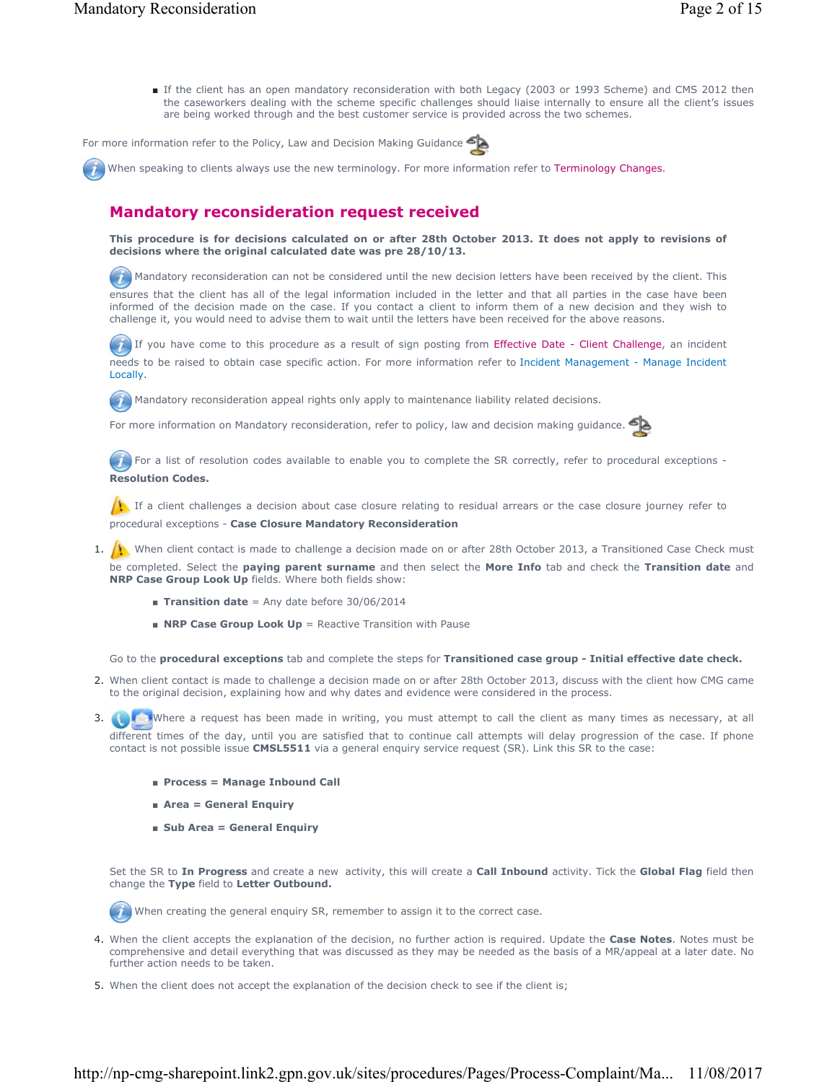■ If the client has an open mandatory reconsideration with both Legacy (2003 or 1993 Scheme) and CMS 2012 then the caseworkers dealing with the scheme specific challenges should liaise internally to ensure all the client's issues are being worked through and the best customer service is provided across the two schemes.

For more information refer to the Policy, Law and Decision Making Guidance

When speaking to clients always use the new terminology. For more information refer to Terminology Changes.

## **Mandatory reconsideration request received**

**This procedure is for decisions calculated on or after 28th October 2013. It does not apply to revisions of decisions where the original calculated date was pre 28/10/13.**

 Mandatory reconsideration can not be considered until the new decision letters have been received by the client. This ensures that the client has all of the legal information included in the letter and that all parties in the case have been informed of the decision made on the case. If you contact a client to inform them of a new decision and they wish to challenge it, you would need to advise them to wait until the letters have been received for the above reasons.

 $\bullet$  If you have come to this procedure as a result of sign posting from Effective Date - Client Challenge, an incident needs to be raised to obtain case specific action. For more information refer to Incident Management - Manage Incident Locally.

Mandatory reconsideration appeal rights only apply to maintenance liability related decisions.  $\overline{u}$ 

For more information on Mandatory reconsideration, refer to policy, law and decision making guidance.



For a list of resolution codes available to enable you to complete the SR correctly, refer to procedural exceptions -**Resolution Codes.**

If a client challenges a decision about case closure relating to residual arrears or the case closure journey refer to procedural exceptions - **Case Closure Mandatory Reconsideration**

- 1. (1) When client contact is made to challenge a decision made on or after 28th October 2013, a Transitioned Case Check must be completed. Select the **paying parent surname** and then select the **More Info** tab and check the **Transition date** and **NRP Case Group Look Up** fields. Where both fields show:
	- **Transition date** = Any date before 30/06/2014
	- **NRP Case Group Look Up** = Reactive Transition with Pause

Go to the **procedural exceptions** tab and complete the steps for **Transitioned case group - Initial effective date check.**

- 2. When client contact is made to challenge a decision made on or after 28th October 2013, discuss with the client how CMG came to the original decision, explaining how and why dates and evidence were considered in the process.
- 3. Where a request has been made in writing, you must attempt to call the client as many times as necessary, at all different times of the day, until you are satisfied that to continue call attempts will delay progression of the case. If phone contact is not possible issue **CMSL5511** via a general enquiry service request (SR). Link this SR to the case:
	- **Process = Manage Inbound Call**
	- **Area = General Enquiry**
	- Sub Area = General Enquiry

Set the SR to **In Progress** and create a new activity, this will create a **Call Inbound** activity. Tick the **Global Flag** field then change the **Type** field to **Letter Outbound.**

When creating the general enquiry SR, remember to assign it to the correct case.

- 4. When the client accepts the explanation of the decision, no further action is required. Update the **Case Notes**. Notes must be comprehensive and detail everything that was discussed as they may be needed as the basis of a MR/appeal at a later date. No further action needs to be taken.
- 5. When the client does not accept the explanation of the decision check to see if the client is;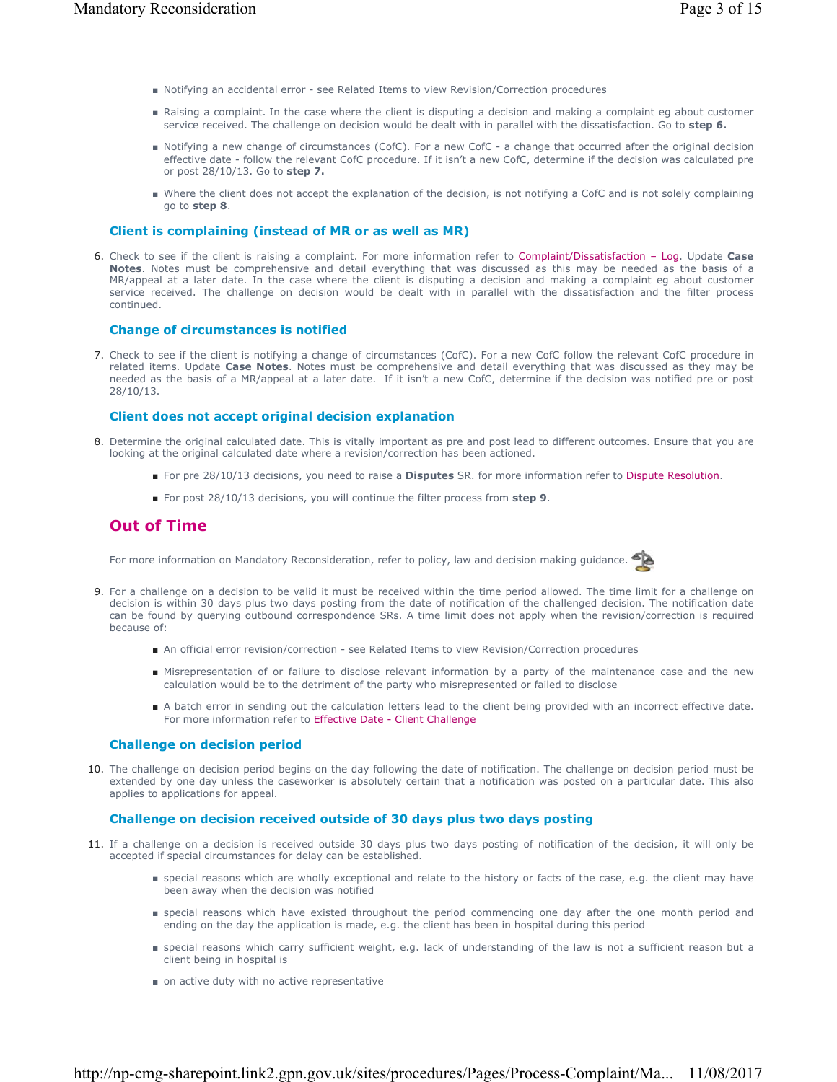- Notifying an accidental error see Related Items to view Revision/Correction procedures
- Raising a complaint. In the case where the client is disputing a decision and making a complaint eg about customer service received. The challenge on decision would be dealt with in parallel with the dissatisfaction. Go to **step 6.**
- Notifying a new change of circumstances (CofC). For a new CofC a change that occurred after the original decision effective date - follow the relevant CofC procedure. If it isn't a new CofC, determine if the decision was calculated pre or post 28/10/13. Go to **step 7.**
- Where the client does not accept the explanation of the decision, is not notifying a CofC and is not solely complaining go to **step 8**.

### **Client is complaining (instead of MR or as well as MR)**

6. Check to see if the client is raising a complaint. For more information refer to Complaint/Dissatisfaction - Log. Update Case **Notes**. Notes must be comprehensive and detail everything that was discussed as this may be needed as the basis of a MR/appeal at a later date. In the case where the client is disputing a decision and making a complaint eg about customer service received. The challenge on decision would be dealt with in parallel with the dissatisfaction and the filter process continued.

### **Change of circumstances is notified**

7. Check to see if the client is notifying a change of circumstances (CofC). For a new CofC follow the relevant CofC procedure in related items. Update **Case Notes**. Notes must be comprehensive and detail everything that was discussed as they may be needed as the basis of a MR/appeal at a later date. If it isn't a new CofC, determine if the decision was notified pre or post 28/10/13.

### **Client does not accept original decision explanation**

- 8. Determine the original calculated date. This is vitally important as pre and post lead to different outcomes. Ensure that you are looking at the original calculated date where a revision/correction has been actioned.
	- For pre 28/10/13 decisions, you need to raise a **Disputes** SR. for more information refer to Dispute Resolution.
	- For post 28/10/13 decisions, you will continue the filter process from **step 9**.

## **Out of Time**

For more information on Mandatory Reconsideration, refer to policy, law and decision making guidance.



- 9. For a challenge on a decision to be valid it must be received within the time period allowed. The time limit for a challenge on decision is within 30 days plus two days posting from the date of notification of the challenged decision. The notification date can be found by querying outbound correspondence SRs. A time limit does not apply when the revision/correction is required because of:
	- An official error revision/correction see Related Items to view Revision/Correction procedures
	- Misrepresentation of or failure to disclose relevant information by a party of the maintenance case and the new calculation would be to the detriment of the party who misrepresented or failed to disclose
	- A batch error in sending out the calculation letters lead to the client being provided with an incorrect effective date. For more information refer to Effective Date - Client Challenge

### **Challenge on decision period**

10. The challenge on decision period begins on the day following the date of notification. The challenge on decision period must be extended by one day unless the caseworker is absolutely certain that a notification was posted on a particular date. This also applies to applications for appeal.

### **Challenge on decision received outside of 30 days plus two days posting**

- 11. If a challenge on a decision is received outside 30 days plus two days posting of notification of the decision, it will only be accepted if special circumstances for delay can be established.
	- special reasons which are wholly exceptional and relate to the history or facts of the case, e.g. the client may have been away when the decision was notified
	- special reasons which have existed throughout the period commencing one day after the one month period and ending on the day the application is made, e.g. the client has been in hospital during this period
	- special reasons which carry sufficient weight, e.g. lack of understanding of the law is not a sufficient reason but a client being in hospital is
	- on active duty with no active representative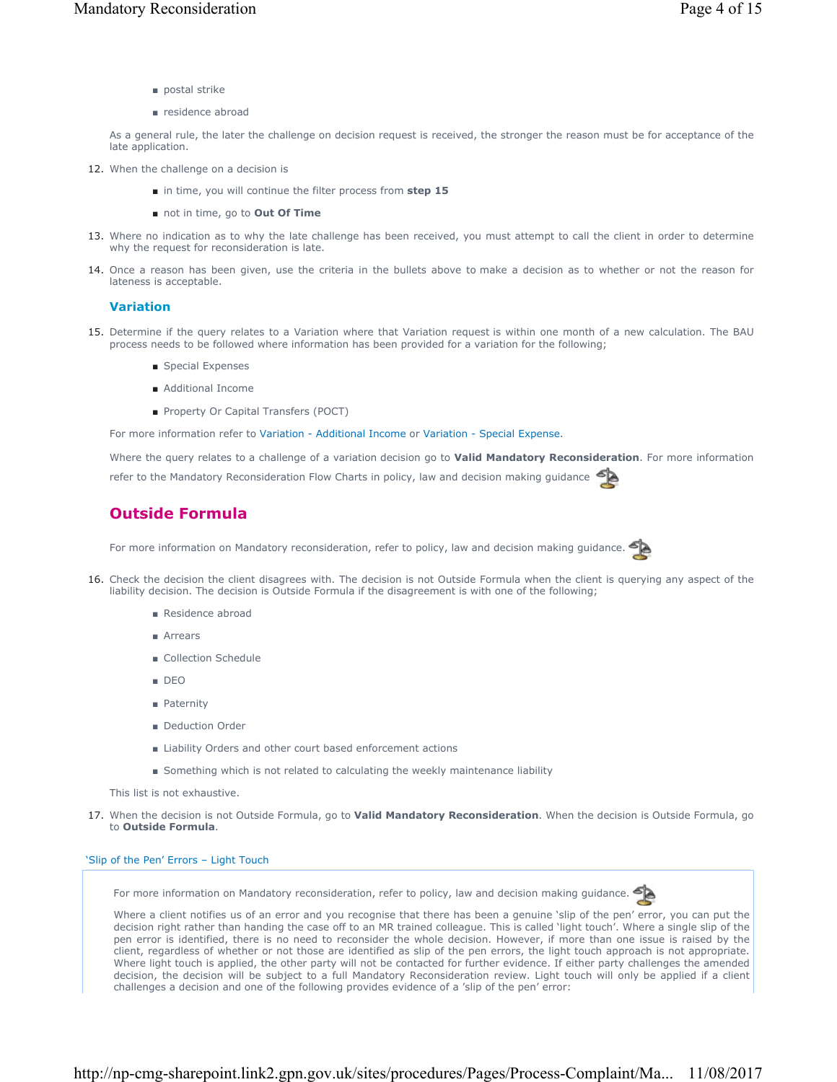- postal strike
- residence abroad

As a general rule, the later the challenge on decision request is received, the stronger the reason must be for acceptance of the late application.

- 12. When the challenge on a decision is
	- in time, you will continue the filter process from step 15
	- not in time, go to Out Of Time
- Where no indication as to why the late challenge has been received, you must attempt to call the client in order to determine 13. why the request for reconsideration is late.
- 14. Once a reason has been given, use the criteria in the bullets above to make a decision as to whether or not the reason for lateness is acceptable.

### **Variation**

- 15. Determine if the query relates to a Variation where that Variation request is within one month of a new calculation. The BAU process needs to be followed where information has been provided for a variation for the following;
	- Special Expenses
	- Additional Income
	- Property Or Capital Transfers (POCT)

For more information refer to Variation - Additional Income or Variation - Special Expense.

Where the query relates to a challenge of a variation decision go to **Valid Mandatory Reconsideration**. For more information refer to the Mandatory Reconsideration Flow Charts in policy, law and decision making guidance

# **Outside Formula**

For more information on Mandatory reconsideration, refer to policy, law and decision making guidance.



- 16. Check the decision the client disagrees with. The decision is not Outside Formula when the client is querying any aspect of the liability decision. The decision is Outside Formula if the disagreement is with one of the following;
	- Residence abroad
	- Arrears
	- Collection Schedule
	- DEO
	- Paternity
	- Deduction Order
	- Liability Orders and other court based enforcement actions
	- Something which is not related to calculating the weekly maintenance liability

This list is not exhaustive.

When the decision is not Outside Formula, go to **Valid Mandatory Reconsideration**. When the decision is Outside Formula, go 17. to **Outside Formula**.

### 'Slip of the Pen' Errors – Light Touch

For more information on Mandatory reconsideration, refer to policy, law and decision making guidance.



Where a client notifies us of an error and you recognise that there has been a genuine 'slip of the pen' error, you can put the decision right rather than handing the case off to an MR trained colleague. This is called 'light touch'. Where a single slip of the pen error is identified, there is no need to reconsider the whole decision. However, if more than one issue is raised by the client, regardless of whether or not those are identified as slip of the pen errors, the light touch approach is not appropriate. Where light touch is applied, the other party will not be contacted for further evidence. If either party challenges the amended decision, the decision will be subject to a full Mandatory Reconsideration review. Light touch will only be applied if a client challenges a decision and one of the following provides evidence of a 'slip of the pen' error: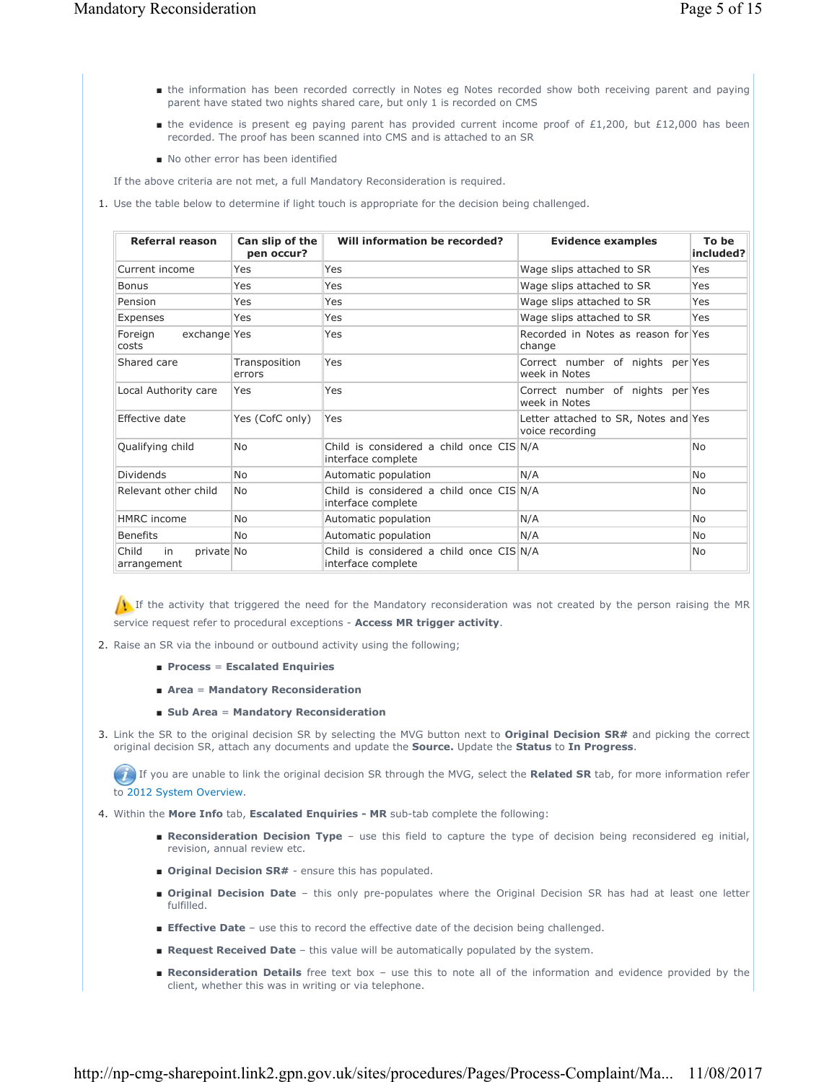- the information has been recorded correctly in Notes eg Notes recorded show both receiving parent and paying parent have stated two nights shared care, but only 1 is recorded on CMS
- the evidence is present eg paying parent has provided current income proof of £1,200, but £12,000 has been recorded. The proof has been scanned into CMS and is attached to an SR
- No other error has been identified

If the above criteria are not met, a full Mandatory Reconsideration is required.

1. Use the table below to determine if light touch is appropriate for the decision being challenged.

| Referral reason                          | Can slip of the<br>pen occur? | Will information be recorded?                                    | <b>Evidence examples</b>                                | To be<br>included? |
|------------------------------------------|-------------------------------|------------------------------------------------------------------|---------------------------------------------------------|--------------------|
| Current income                           | Yes                           | Yes                                                              | Wage slips attached to SR                               | Yes                |
| <b>Bonus</b>                             | Yes                           | Yes                                                              | Wage slips attached to SR                               | Yes                |
| Pension                                  | Yes                           | Yes                                                              | Wage slips attached to SR                               | Yes                |
| Expenses                                 | Yes                           | Yes                                                              | Wage slips attached to SR                               | Yes                |
| exchange Yes<br>Foreign<br>costs         |                               | Yes                                                              | Recorded in Notes as reason for Yes<br>change           |                    |
| Shared care                              | Transposition<br>errors       | Yes                                                              | Correct number of nights per Yes<br>week in Notes       |                    |
| Local Authority care                     | Yes                           | Yes                                                              | Correct number of nights per Yes<br>week in Notes       |                    |
| Effective date                           | Yes (CofC only)               | Yes                                                              | Letter attached to SR, Notes and Yes<br>voice recording |                    |
| Qualifying child                         | <b>No</b>                     | Child is considered a child once CIS N/A<br>interface complete   |                                                         | No.                |
| <b>Dividends</b>                         | <b>No</b>                     | Automatic population                                             | N/A                                                     | N <sub>0</sub>     |
| Relevant other child                     | <b>No</b>                     | Child is considered a child once $CIS N/A$<br>interface complete |                                                         | No.                |
| <b>HMRC</b> income                       | <b>No</b>                     | Automatic population                                             | N/A                                                     | <b>No</b>          |
| <b>Benefits</b>                          | <b>No</b>                     | Automatic population                                             | N/A                                                     | <b>No</b>          |
| Child<br>private No<br>in<br>arrangement |                               | Child is considered a child once CIS N/A<br>interface complete   |                                                         | N <sub>0</sub>     |

If the activity that triggered the need for the Mandatory reconsideration was not created by the person raising the MR service request refer to procedural exceptions - **Access MR trigger activity**.

- 2. Raise an SR via the inbound or outbound activity using the following;
	- **Process** = **Escalated Enquiries**
	- **Area** = **Mandatory Reconsideration**
	- **Sub Area** = **Mandatory Reconsideration**
- 3. Link the SR to the original decision SR by selecting the MVG button next to **Original Decision SR#** and picking the correct original decision SR, attach any documents and update the **Source.** Update the **Status** to **In Progress**.

If you are unable to link the original decision SR through the MVG, select the **Related SR** tab, for more information refer to 2012 System Overview.

- 4. Within the **More Info** tab, **Escalated Enquiries MR** sub-tab complete the following:
	- Reconsideration Decision Type use this field to capture the type of decision being reconsidered eg initial, revision, annual review etc.
	- **Driginal Decision SR#** ensure this has populated.
	- **Original Decision Date** this only pre-populates where the Original Decision SR has had at least one letter fulfilled.
	- **Effective Date** use this to record the effective date of the decision being challenged.
	- **Request Received Date** this value will be automatically populated by the system.
	- Reconsideration Details free text box use this to note all of the information and evidence provided by the client, whether this was in writing or via telephone.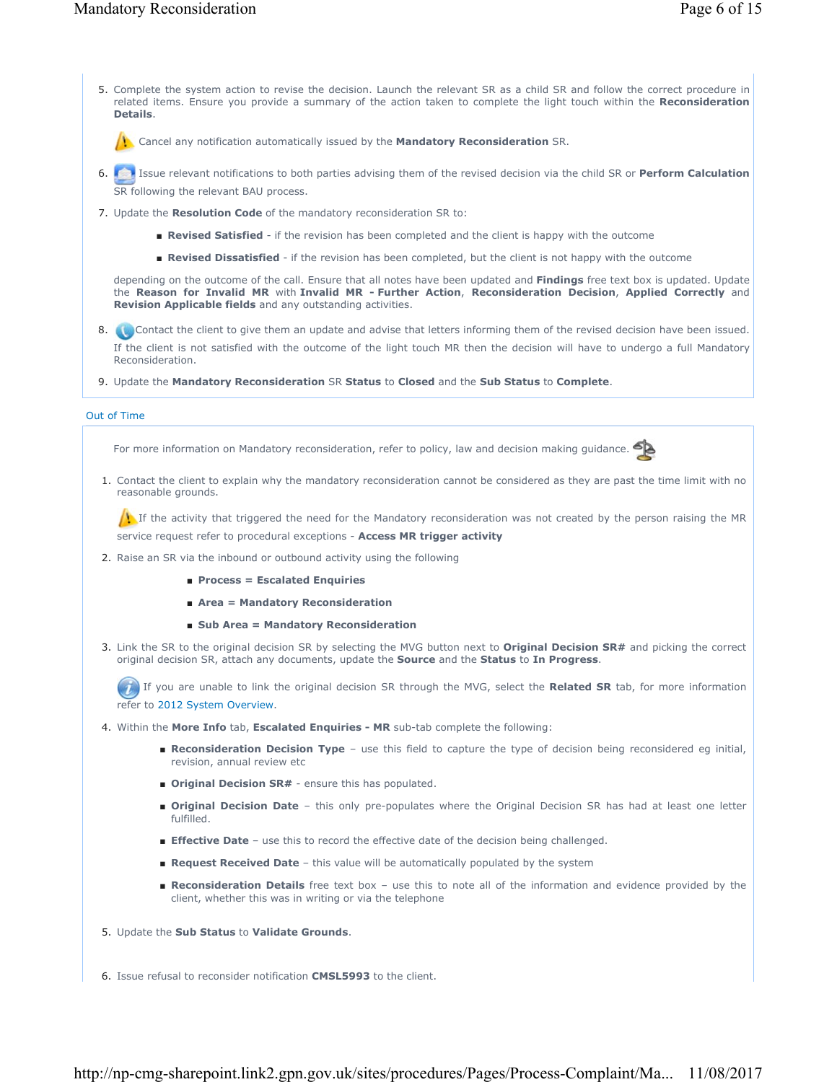5. Complete the system action to revise the decision. Launch the relevant SR as a child SR and follow the correct procedure in related items. Ensure you provide a summary of the action taken to complete the light touch within the **Reconsideration Details**.

Cancel any notification automatically issued by the **Mandatory Reconsideration** SR.

- Issue relevant notifications to both parties advising them of the revised decision via the child SR or **Perform Calculation** 6. SR following the relevant BAU process.
- 7. Update the **Resolution Code** of the mandatory reconsideration SR to:
	- **Revised Satisfied** if the revision has been completed and the client is happy with the outcome
	- **Revised Dissatisfied** if the revision has been completed, but the client is not happy with the outcome

depending on the outcome of the call. Ensure that all notes have been updated and **Findings** free text box is updated. Update the **Reason for Invalid MR** with **Invalid MR - Further Action**, **Reconsideration Decision**, **Applied Correctly** and **Revision Applicable fields** and any outstanding activities.

8. **Contact the client to give them an update and advise that letters informing them of the revised decision have been issued.** If the client is not satisfied with the outcome of the light touch MR then the decision will have to undergo a full Mandatory Reconsideration.

9. Update the **Mandatory Reconsideration** SR **Status** to **Closed** and the **Sub Status** to **Complete**.

### Out of Time

For more information on Mandatory reconsideration, refer to policy, law and decision making guidance.

1. Contact the client to explain why the mandatory reconsideration cannot be considered as they are past the time limit with no reasonable grounds.

If the activity that triggered the need for the Mandatory reconsideration was not created by the person raising the MR service request refer to procedural exceptions - **Access MR trigger activity**

- 2. Raise an SR via the inbound or outbound activity using the following
	- **Process = Escalated Enquiries**
	- **Area = Mandatory Reconsideration**
	- Sub Area = Mandatory Reconsideration
- Link the SR to the original decision SR by selecting the MVG button next to **Original Decision SR#** and picking the correct 3. original decision SR, attach any documents, update the **Source** and the **Status** to **In Progress**.

If you are unable to link the original decision SR through the MVG, select the **Related SR** tab, for more information refer to 2012 System Overview.

4. Within the **More Info** tab, **Escalated Enquiries - MR** sub-tab complete the following:

- Reconsideration Decision Type use this field to capture the type of decision being reconsidered eg initial, revision, annual review etc
- **Original Decision SR#** ensure this has populated.
- **Original Decision Date** this only pre-populates where the Original Decision SR has had at least one letter fulfilled.
- **Effective Date** use this to record the effective date of the decision being challenged.
- Request Received Date this value will be automatically populated by the system
- **Reconsideration Details** free text box use this to note all of the information and evidence provided by the client, whether this was in writing or via the telephone
- 5. Update the **Sub Status** to **Validate Grounds**.
- 6. Issue refusal to reconsider notification **CMSL5993** to the client.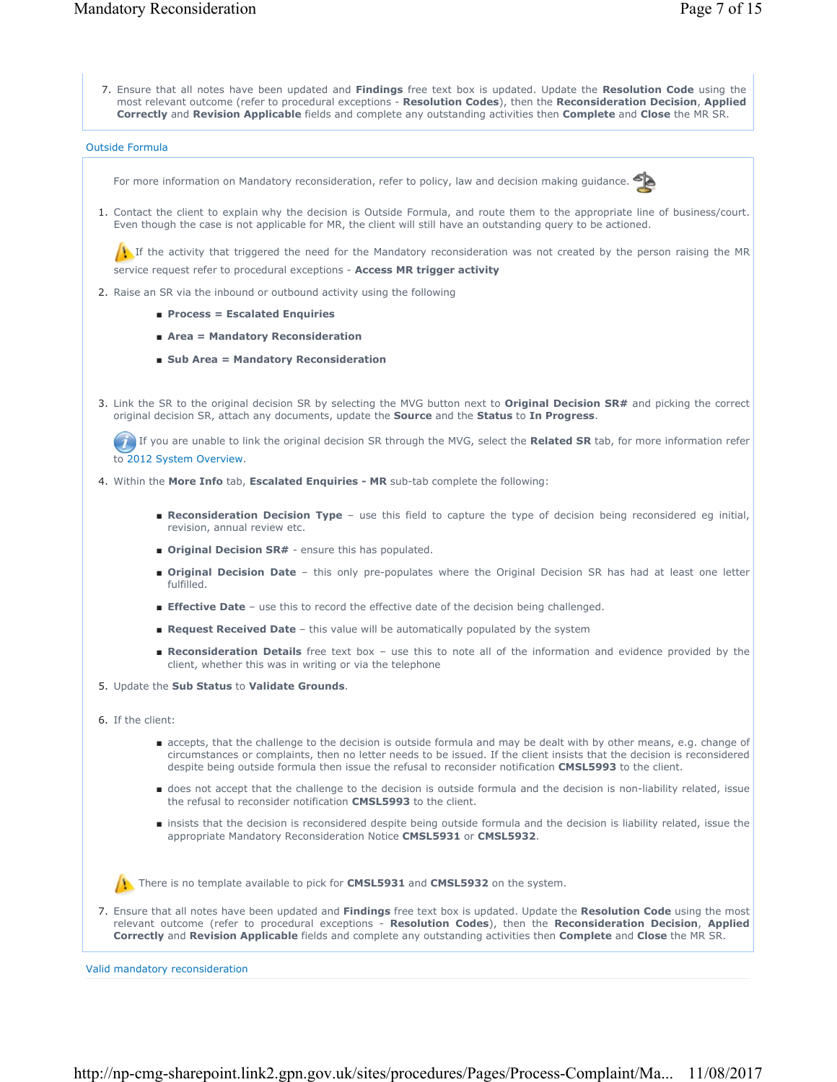Ensure that all notes have been updated and **Findings** free text box is updated. Update the **Resolution Code** using the 7. most relevant outcome (refer to procedural exceptions - **Resolution Codes**), then the **Reconsideration Decision**, **Applied Correctly** and **Revision Applicable** fields and complete any outstanding activities then **Complete** and **Close** the MR SR.

Outside Formula

For more information on Mandatory reconsideration, refer to policy, law and decision making guidance.



1. Contact the client to explain why the decision is Outside Formula, and route them to the appropriate line of business/court. Even though the case is not applicable for MR, the client will still have an outstanding query to be actioned.

If the activity that triggered the need for the Mandatory reconsideration was not created by the person raising the MR service request refer to procedural exceptions - **Access MR trigger activity**

- 2. Raise an SR via the inbound or outbound activity using the following
	- **Process = Escalated Enquiries**
	- **Area = Mandatory Reconsideration**
	- **Sub Area = Mandatory Reconsideration**
- Link the SR to the original decision SR by selecting the MVG button next to **Original Decision SR#** and picking the correct 3. original decision SR, attach any documents, update the **Source** and the **Status** to **In Progress**.

If you are unable to link the original decision SR through the MVG, select the **Related SR** tab, for more information refer to 2012 System Overview.

- 4. Within the **More Info** tab, **Escalated Enquiries MR** sub-tab complete the following:
	- Reconsideration Decision Type use this field to capture the type of decision being reconsidered eg initial, revision, annual review etc.
	- **Original Decision SR#** ensure this has populated.
	- **Original Decision Date** this only pre-populates where the Original Decision SR has had at least one letter fulfilled.
	- **Effective Date** use this to record the effective date of the decision being challenged.
	- **Request Received Date** this value will be automatically populated by the system
	- Reconsideration Details free text box use this to note all of the information and evidence provided by the client, whether this was in writing or via the telephone
- 5. Update the **Sub Status** to **Validate Grounds**.
- 6. If the client:
	- accepts, that the challenge to the decision is outside formula and may be dealt with by other means, e.g. change of circumstances or complaints, then no letter needs to be issued. If the client insists that the decision is reconsidered despite being outside formula then issue the refusal to reconsider notification **CMSL5993** to the client.
	- does not accept that the challenge to the decision is outside formula and the decision is non-liability related, issue the refusal to reconsider notification **CMSL5993** to the client.
	- insists that the decision is reconsidered despite being outside formula and the decision is liability related, issue the appropriate Mandatory Reconsideration Notice **CMSL5931** or **CMSL5932**.

There is no template available to pick for **CMSL5931** and **CMSL5932** on the system.

Ensure that all notes have been updated and **Findings** free text box is updated. Update the **Resolution Code** using the most 7. relevant outcome (refer to procedural exceptions - **Resolution Codes**), then the **Reconsideration Decision**, **Applied Correctly** and **Revision Applicable** fields and complete any outstanding activities then **Complete** and **Close** the MR SR.

Valid mandatory reconsideration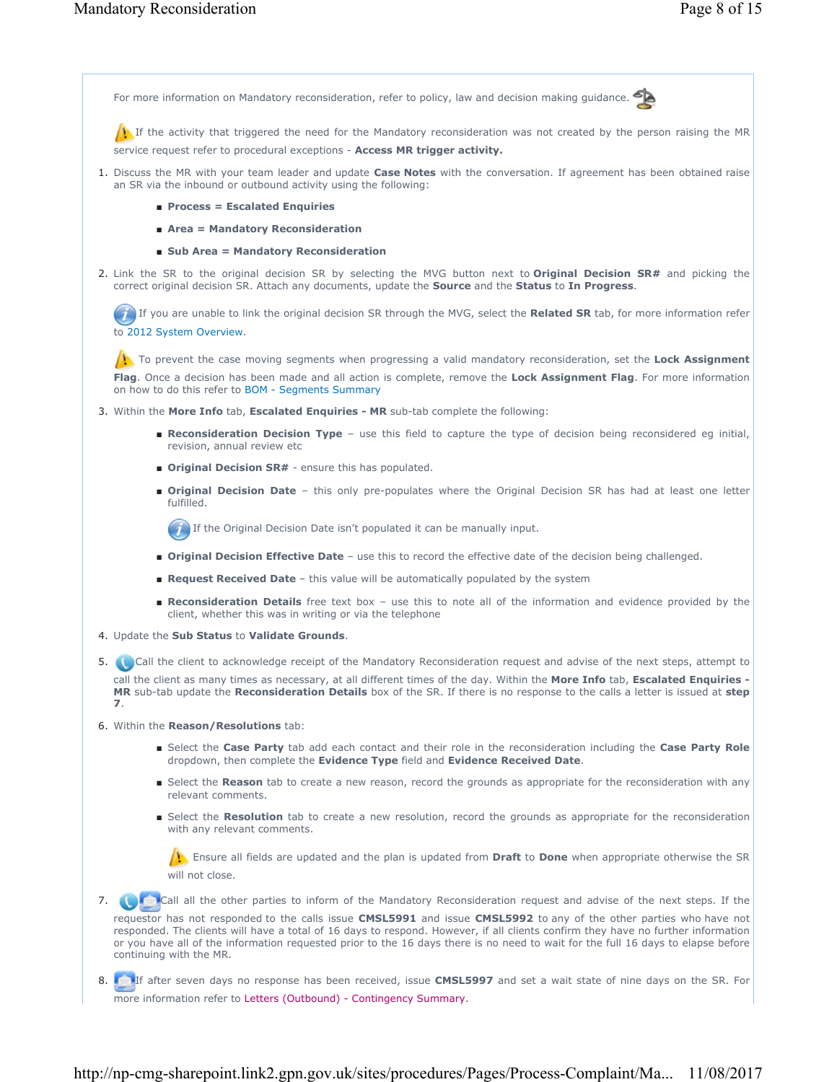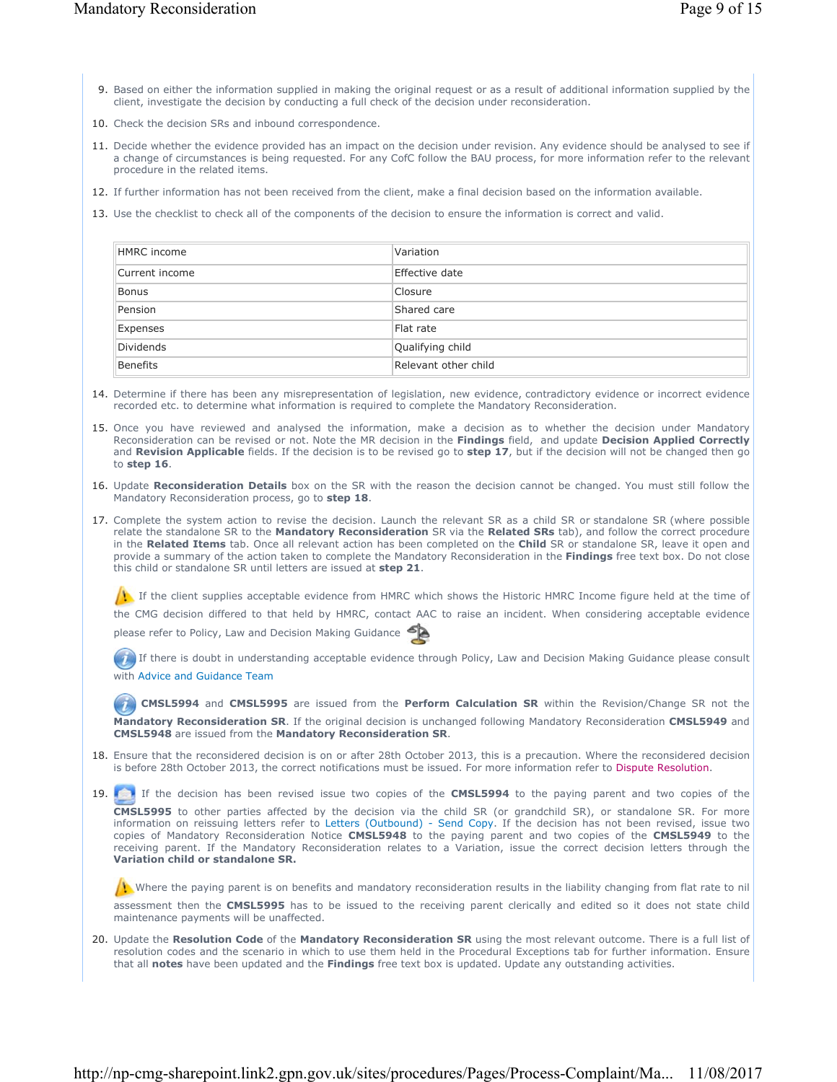- 9. Based on either the information supplied in making the original request or as a result of additional information supplied by the client, investigate the decision by conducting a full check of the decision under reconsideration.
- 10. Check the decision SRs and inbound correspondence.
- 11. Decide whether the evidence provided has an impact on the decision under revision. Any evidence should be analysed to see if a change of circumstances is being requested. For any CofC follow the BAU process, for more information refer to the relevant procedure in the related items.
- 12. If further information has not been received from the client, make a final decision based on the information available.
- 13. Use the checklist to check all of the components of the decision to ensure the information is correct and valid.

| HMRC income    | Variation            |
|----------------|----------------------|
| Current income | Effective date       |
| Bonus          | Closure              |
| Pension        | Shared care          |
| Expenses       | Flat rate            |
| Dividends      | Qualifying child     |
| Benefits       | Relevant other child |

- 14. Determine if there has been any misrepresentation of legislation, new evidence, contradictory evidence or incorrect evidence recorded etc. to determine what information is required to complete the Mandatory Reconsideration.
- 15. Once you have reviewed and analysed the information, make a decision as to whether the decision under Mandatory Reconsideration can be revised or not. Note the MR decision in the **Findings** field, and update **Decision Applied Correctly** and **Revision Applicable** fields. If the decision is to be revised go to **step 17**, but if the decision will not be changed then go to **step 16**.
- 16. Update Reconsideration Details box on the SR with the reason the decision cannot be changed. You must still follow the Mandatory Reconsideration process, go to **step 18**.
- 17. Complete the system action to revise the decision. Launch the relevant SR as a child SR or standalone SR (where possible relate the standalone SR to the **Mandatory Reconsideration** SR via the **Related SRs** tab), and follow the correct procedure in the **Related Items** tab. Once all relevant action has been completed on the **Child** SR or standalone SR, leave it open and provide a summary of the action taken to complete the Mandatory Reconsideration in the **Findings** free text box. Do not close this child or standalone SR until letters are issued at **step 21**.

If the client supplies acceptable evidence from HMRC which shows the Historic HMRC Income figure held at the time of the CMG decision differed to that held by HMRC, contact AAC to raise an incident. When considering acceptable evidence please refer to Policy, Law and Decision Making Guidance

If there is doubt in understanding acceptable evidence through Policy, Law and Decision Making Guidance please consult with Advice and Guidance Team

**CMSL5994** and **CMSL5995** are issued from the **Perform Calculation SR** within the Revision/Change SR not the **Mandatory Reconsideration SR**. If the original decision is unchanged following Mandatory Reconsideration **CMSL5949** and **CMSL5948** are issued from the **Mandatory Reconsideration SR**.

- 18. Ensure that the reconsidered decision is on or after 28th October 2013, this is a precaution. Where the reconsidered decision is before 28th October 2013, the correct notifications must be issued. For more information refer to Dispute Resolution.
- 19. If the decision has been revised issue two copies of the **CMSL5994** to the paying parent and two copies of the **CMSL5995** to other parties affected by the decision via the child SR (or grandchild SR), or standalone SR. For more

information on reissuing letters refer to Letters (Outbound) - Send Copy. If the decision has not been revised, issue two copies of Mandatory Reconsideration Notice **CMSL5948** to the paying parent and two copies of the **CMSL5949** to the receiving parent. If the Mandatory Reconsideration relates to a Variation, issue the correct decision letters through the **Variation child or standalone SR.**

Where the paying parent is on benefits and mandatory reconsideration results in the liability changing from flat rate to nil assessment then the **CMSL5995** has to be issued to the receiving parent clerically and edited so it does not state child maintenance payments will be unaffected.

20. Update the Resolution Code of the Mandatory Reconsideration SR using the most relevant outcome. There is a full list of resolution codes and the scenario in which to use them held in the Procedural Exceptions tab for further information. Ensure that all **notes** have been updated and the **Findings** free text box is updated. Update any outstanding activities.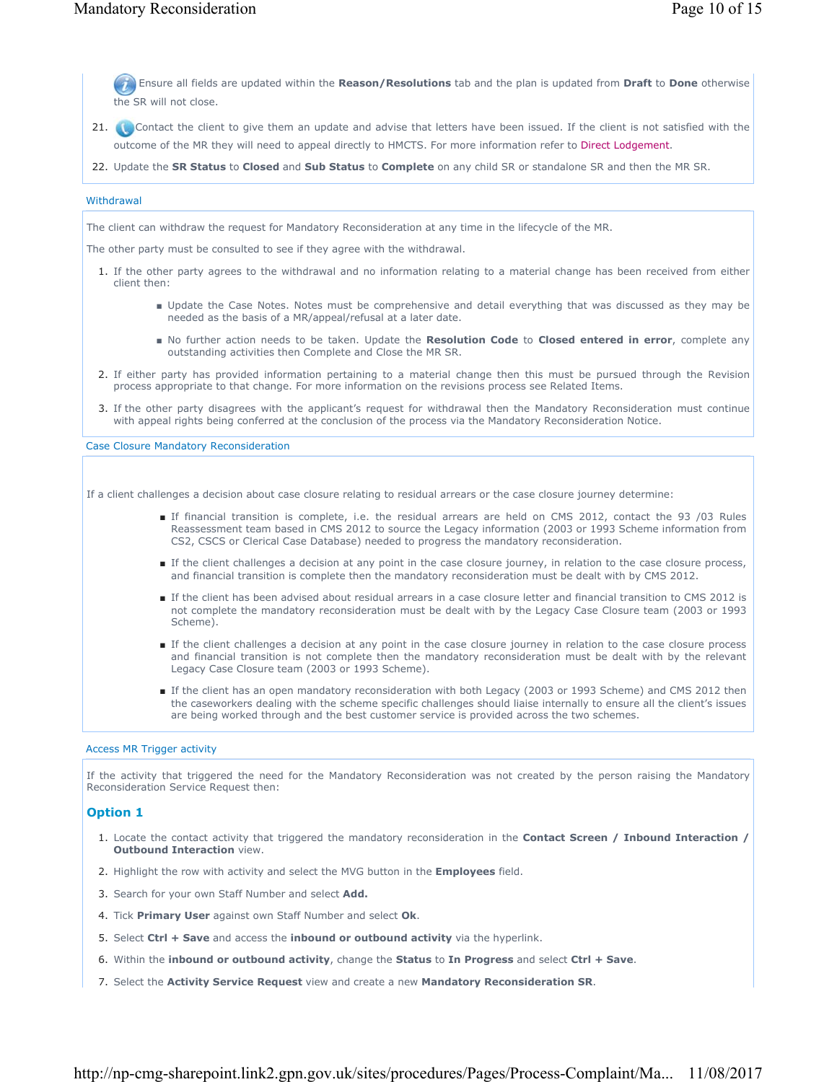Ensure all fields are updated within the **Reason/Resolutions** tab and the plan is updated from **Draft** to **Done** otherwise the SR will not close.

- 21. Contact the client to give them an update and advise that letters have been issued. If the client is not satisfied with the outcome of the MR they will need to appeal directly to HMCTS. For more information refer to Direct Lodgement.
- 22. Update the **SR Status** to **Closed** and **Sub Status** to **Complete** on any child SR or standalone SR and then the MR SR.

#### **Withdrawal**

The client can withdraw the request for Mandatory Reconsideration at any time in the lifecycle of the MR.

The other party must be consulted to see if they agree with the withdrawal.

- 1. If the other party agrees to the withdrawal and no information relating to a material change has been received from either client then:
	- Update the Case Notes. Notes must be comprehensive and detail everything that was discussed as they may be needed as the basis of a MR/appeal/refusal at a later date.
	- No further action needs to be taken. Update the Resolution Code to Closed entered in error, complete any outstanding activities then Complete and Close the MR SR.
- 2. If either party has provided information pertaining to a material change then this must be pursued through the Revision process appropriate to that change. For more information on the revisions process see Related Items.
- If the other party disagrees with the applicant's request for withdrawal then the Mandatory Reconsideration must continue 3. with appeal rights being conferred at the conclusion of the process via the Mandatory Reconsideration Notice.

Case Closure Mandatory Reconsideration

If a client challenges a decision about case closure relating to residual arrears or the case closure journey determine:

- If financial transition is complete, i.e. the residual arrears are held on CMS 2012, contact the 93 /03 Rules Reassessment team based in CMS 2012 to source the Legacy information (2003 or 1993 Scheme information from CS2, CSCS or Clerical Case Database) needed to progress the mandatory reconsideration.
- If the client challenges a decision at any point in the case closure journey, in relation to the case closure process, and financial transition is complete then the mandatory reconsideration must be dealt with by CMS 2012.
- If the client has been advised about residual arrears in a case closure letter and financial transition to CMS 2012 is not complete the mandatory reconsideration must be dealt with by the Legacy Case Closure team (2003 or 1993 Scheme).
- If the client challenges a decision at any point in the case closure journey in relation to the case closure process and financial transition is not complete then the mandatory reconsideration must be dealt with by the relevant Legacy Case Closure team (2003 or 1993 Scheme).
- If the client has an open mandatory reconsideration with both Legacy (2003 or 1993 Scheme) and CMS 2012 then the caseworkers dealing with the scheme specific challenges should liaise internally to ensure all the client's issues are being worked through and the best customer service is provided across the two schemes.

#### Access MR Trigger activity

If the activity that triggered the need for the Mandatory Reconsideration was not created by the person raising the Mandatory Reconsideration Service Request then:

### **Option 1**

- 1. Locate the contact activity that triggered the mandatory reconsideration in the **Contact Screen / Inbound Interaction / Outbound Interaction** view.
- 2. Highlight the row with activity and select the MVG button in the **Employees** field.
- 3. Search for your own Staff Number and select **Add.**
- 4. Tick **Primary User** against own Staff Number and select **Ok**.
- 5. Select **Ctrl + Save** and access the **inbound or outbound activity** via the hyperlink.
- 6. Within the **inbound or outbound activity**, change the **Status** to **In Progress** and select **Ctrl + Save**.
- 7. Select the **Activity Service Request** view and create a new **Mandatory Reconsideration SR**.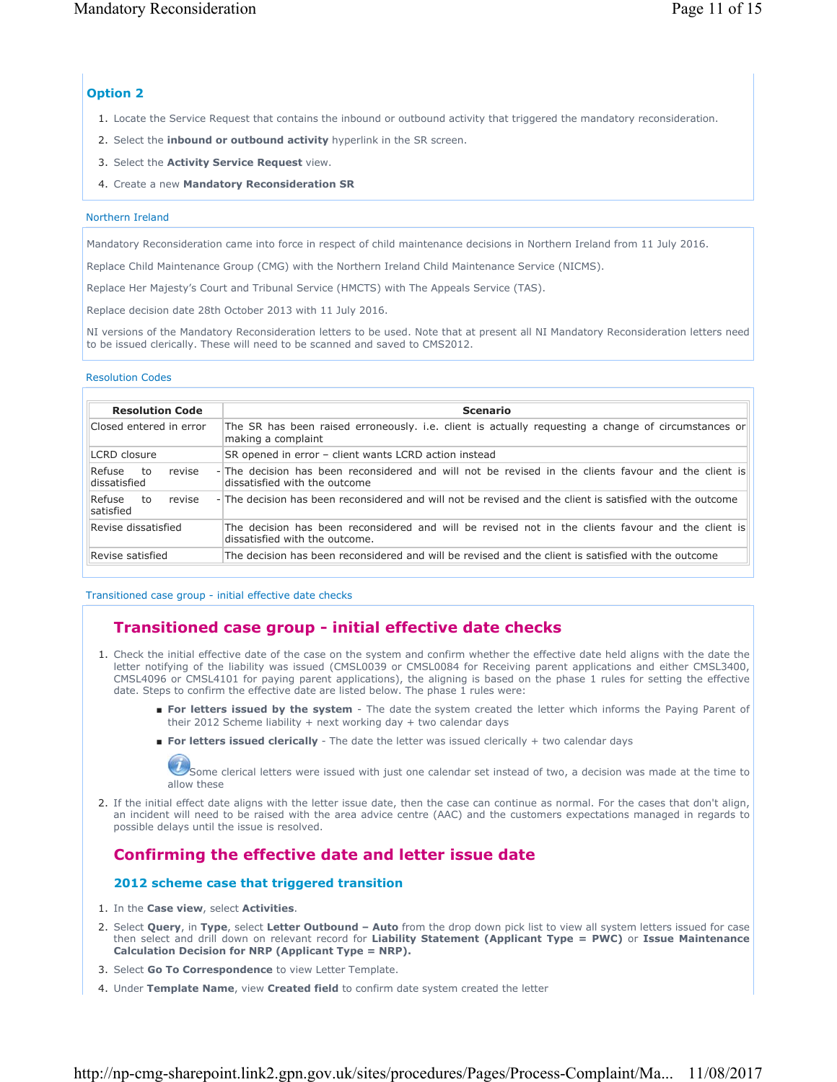# **Option 2**

- 1. Locate the Service Request that contains the inbound or outbound activity that triggered the mandatory reconsideration.
- 2. Select the **inbound or outbound activity** hyperlink in the SR screen.
- 3. Select the **Activity Service Request** view.
- 4. Create a new **Mandatory Reconsideration SR**

## Northern Ireland

Mandatory Reconsideration came into force in respect of child maintenance decisions in Northern Ireland from 11 July 2016.

Replace Child Maintenance Group (CMG) with the Northern Ireland Child Maintenance Service (NICMS).

Replace Her Majesty's Court and Tribunal Service (HMCTS) with The Appeals Service (TAS).

Replace decision date 28th October 2013 with 11 July 2016.

NI versions of the Mandatory Reconsideration letters to be used. Note that at present all NI Mandatory Reconsideration letters need to be issued clerically. These will need to be scanned and saved to CMS2012.

### Resolution Codes

| <b>Resolution Code</b>                 | <b>Scenario</b>                                                                                                                      |  |  |
|----------------------------------------|--------------------------------------------------------------------------------------------------------------------------------------|--|--|
| Closed entered in error                | The SR has been raised erroneously. i.e. client is actually requesting a change of circumstances or<br>making a complaint            |  |  |
| LCRD closure                           | SR opened in error - client wants LCRD action instead                                                                                |  |  |
| Refuse<br>revise<br>to<br>dissatisfied | -The decision has been reconsidered and will not be revised in the clients favour and the client is<br>dissatisfied with the outcome |  |  |
| Refuse<br>revise<br>to<br>satisfied    | -The decision has been reconsidered and will not be revised and the client is satisfied with the outcome                             |  |  |
| Revise dissatisfied                    | The decision has been reconsidered and will be revised not in the clients favour and the client is<br>dissatisfied with the outcome. |  |  |
| Revise satisfied                       | The decision has been reconsidered and will be revised and the client is satisfied with the outcome                                  |  |  |

### Transitioned case group - initial effective date checks

# **Transitioned case group - initial effective date checks**

- 1. Check the initial effective date of the case on the system and confirm whether the effective date held aligns with the date the letter notifying of the liability was issued (CMSL0039 or CMSL0084 for Receiving parent applications and either CMSL3400, CMSL4096 or CMSL4101 for paying parent applications), the aligning is based on the phase 1 rules for setting the effective date. Steps to confirm the effective date are listed below. The phase 1 rules were:
	- **For letters issued by the system** The date the system created the letter which informs the Paying Parent of their 2012 Scheme liability + next working day + two calendar days
	- **For letters issued clerically** The date the letter was issued clerically + two calendar days

Some clerical letters were issued with just one calendar set instead of two, a decision was made at the time to allow these

2. If the initial effect date aligns with the letter issue date, then the case can continue as normal. For the cases that don't align, an incident will need to be raised with the area advice centre (AAC) and the customers expectations managed in regards to possible delays until the issue is resolved.

# **Confirming the effective date and letter issue date**

## **2012 scheme case that triggered transition**

- 1. In the **Case view**, select **Activities**.
- 2. Select **Query**, in Type, select Letter Outbound Auto from the drop down pick list to view all system letters issued for case then select and drill down on relevant record for **Liability Statement (Applicant Type = PWC)** or **Issue Maintenance Calculation Decision for NRP (Applicant Type = NRP).**
- 3. Select **Go To Correspondence** to view Letter Template.
- 4. Under **Template Name**, view **Created field** to confirm date system created the letter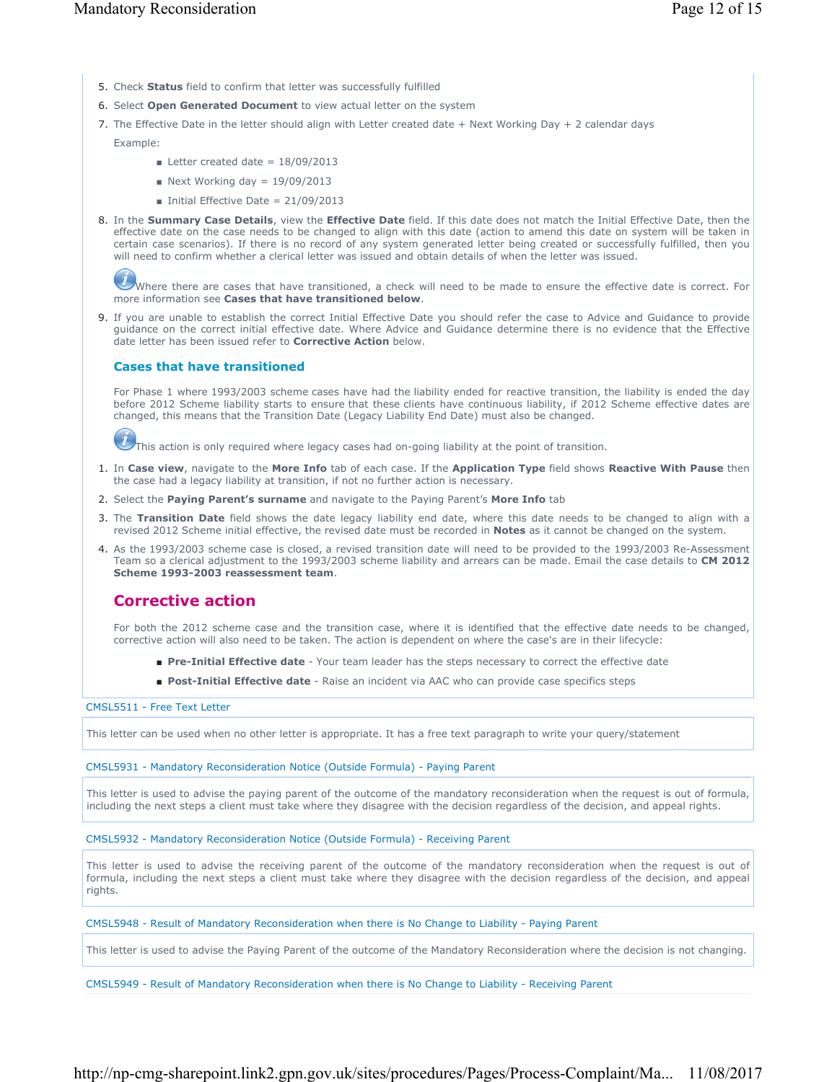- 5. Check **Status** field to confirm that letter was successfully fulfilled
- 6. Select **Open Generated Document** to view actual letter on the system
- 7. The Effective Date in the letter should align with Letter created date + Next Working Day + 2 calendar days
	- Example:
		- **Exerchange Letter created date =**  $18/09/2013$
		- $\blacksquare$  Next Working day = 19/09/2013
		- $\blacksquare$  Initial Effective Date = 21/09/2013
- 8. In the **Summary Case Details**, view the **Effective Date** field. If this date does not match the Initial Effective Date, then the effective date on the case needs to be changed to align with this date (action to amend this date on system will be taken in certain case scenarios). If there is no record of any system generated letter being created or successfully fulfilled, then you will need to confirm whether a clerical letter was issued and obtain details of when the letter was issued.

Where there are cases that have transitioned, a check will need to be made to ensure the effective date is correct. For more information see **Cases that have transitioned below**.

9. If you are unable to establish the correct Initial Effective Date you should refer the case to Advice and Guidance to provide guidance on the correct initial effective date. Where Advice and Guidance determine there is no evidence that the Effective date letter has been issued refer to **Corrective Action** below.

### **Cases that have transitioned**

For Phase 1 where 1993/2003 scheme cases have had the liability ended for reactive transition, the liability is ended the day before 2012 Scheme liability starts to ensure that these clients have continuous liability, if 2012 Scheme effective dates are changed, this means that the Transition Date (Legacy Liability End Date) must also be changed.

This action is only required where legacy cases had on-going liability at the point of transition.

- In **Case view**, navigate to the **More Info** tab of each case. If the **Application Type** field shows **Reactive With Pause** then 1. the case had a legacy liability at transition, if not no further action is necessary.
- 2. Select the **Paying Parent's surname** and navigate to the Paying Parent's **More Info** tab
- 3. The Transition Date field shows the date legacy liability end date, where this date needs to be changed to align with a revised 2012 Scheme initial effective, the revised date must be recorded in **Notes** as it cannot be changed on the system.
- 4. As the 1993/2003 scheme case is closed, a revised transition date will need to be provided to the 1993/2003 Re-Assessment Team so a clerical adjustment to the 1993/2003 scheme liability and arrears can be made. Email the case details to **CM 2012 Scheme 1993-2003 reassessment team**.

## **Corrective action**

For both the 2012 scheme case and the transition case, where it is identified that the effective date needs to be changed, corrective action will also need to be taken. The action is dependent on where the case's are in their lifecycle:

- **Pre-Initial Effective date** Your team leader has the steps necessary to correct the effective date
- **Post-Initial Effective date** Raise an incident via AAC who can provide case specifics steps

### CMSL5511 - Free Text Letter

This letter can be used when no other letter is appropriate. It has a free text paragraph to write your query/statement

#### CMSL5931 - Mandatory Reconsideration Notice (Outside Formula) - Paying Parent

This letter is used to advise the paying parent of the outcome of the mandatory reconsideration when the request is out of formula, including the next steps a client must take where they disagree with the decision regardless of the decision, and appeal rights.

CMSL5932 - Mandatory Reconsideration Notice (Outside Formula) - Receiving Parent

This letter is used to advise the receiving parent of the outcome of the mandatory reconsideration when the request is out of formula, including the next steps a client must take where they disagree with the decision regardless of the decision, and appeal rights.

CMSL5948 - Result of Mandatory Reconsideration when there is No Change to Liability - Paying Parent

This letter is used to advise the Paying Parent of the outcome of the Mandatory Reconsideration where the decision is not changing.

CMSL5949 - Result of Mandatory Reconsideration when there is No Change to Liability - Receiving Parent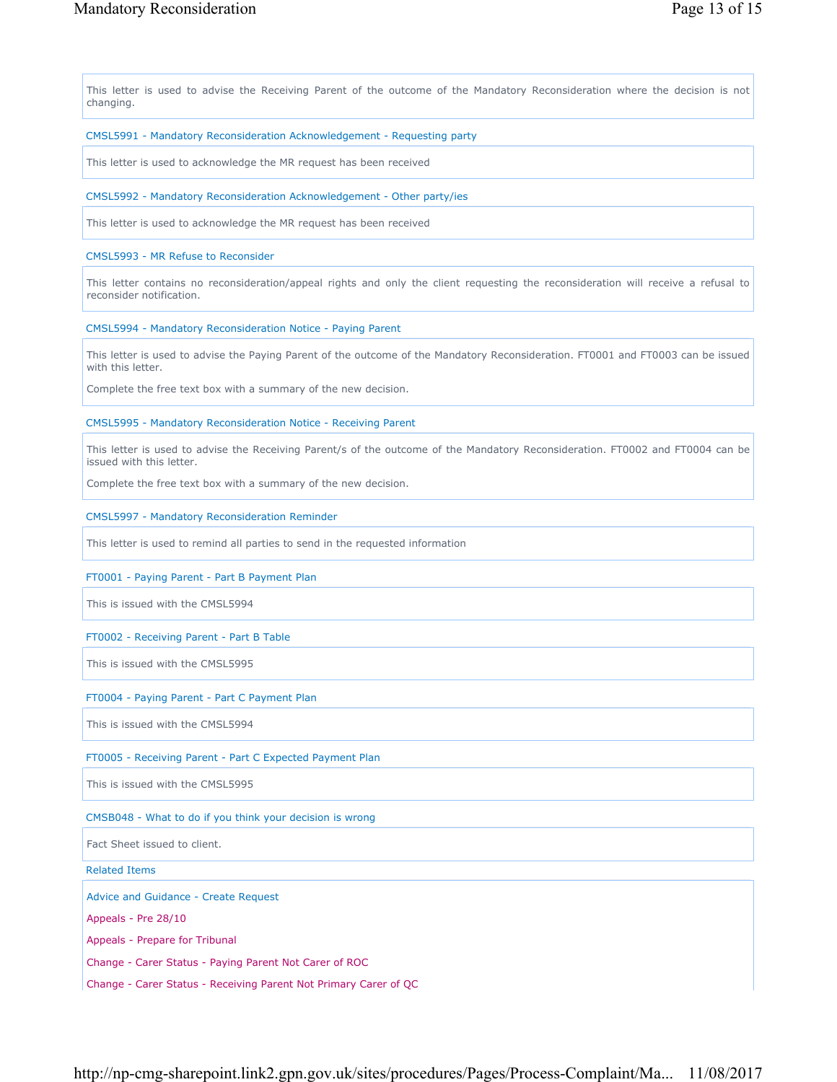This letter is used to advise the Receiving Parent of the outcome of the Mandatory Reconsideration where the decision is not changing.

### CMSL5991 - Mandatory Reconsideration Acknowledgement - Requesting party

This letter is used to acknowledge the MR request has been received

#### CMSL5992 - Mandatory Reconsideration Acknowledgement - Other party/ies

This letter is used to acknowledge the MR request has been received

### CMSL5993 - MR Refuse to Reconsider

This letter contains no reconsideration/appeal rights and only the client requesting the reconsideration will receive a refusal to reconsider notification.

### CMSL5994 - Mandatory Reconsideration Notice - Paying Parent

This letter is used to advise the Paying Parent of the outcome of the Mandatory Reconsideration. FT0001 and FT0003 can be issued with this letter.

Complete the free text box with a summary of the new decision.

### CMSL5995 - Mandatory Reconsideration Notice - Receiving Parent

This letter is used to advise the Receiving Parent/s of the outcome of the Mandatory Reconsideration. FT0002 and FT0004 can be issued with this letter.

Complete the free text box with a summary of the new decision.

### CMSL5997 - Mandatory Reconsideration Reminder

This letter is used to remind all parties to send in the requested information

### FT0001 - Paying Parent - Part B Payment Plan

This is issued with the CMSL5994

### FT0002 - Receiving Parent - Part B Table

This is issued with the CMSL5995

### FT0004 - Paying Parent - Part C Payment Plan

This is issued with the CMSL5994

### FT0005 - Receiving Parent - Part C Expected Payment Plan

This is issued with the CMSL5995

### CMSB048 - What to do if you think your decision is wrong

Fact Sheet issued to client.

Related Items

Advice and Guidance - Create Request

Appeals - Pre 28/10

Appeals - Prepare for Tribunal

Change - Carer Status - Paying Parent Not Carer of ROC

Change - Carer Status - Receiving Parent Not Primary Carer of QC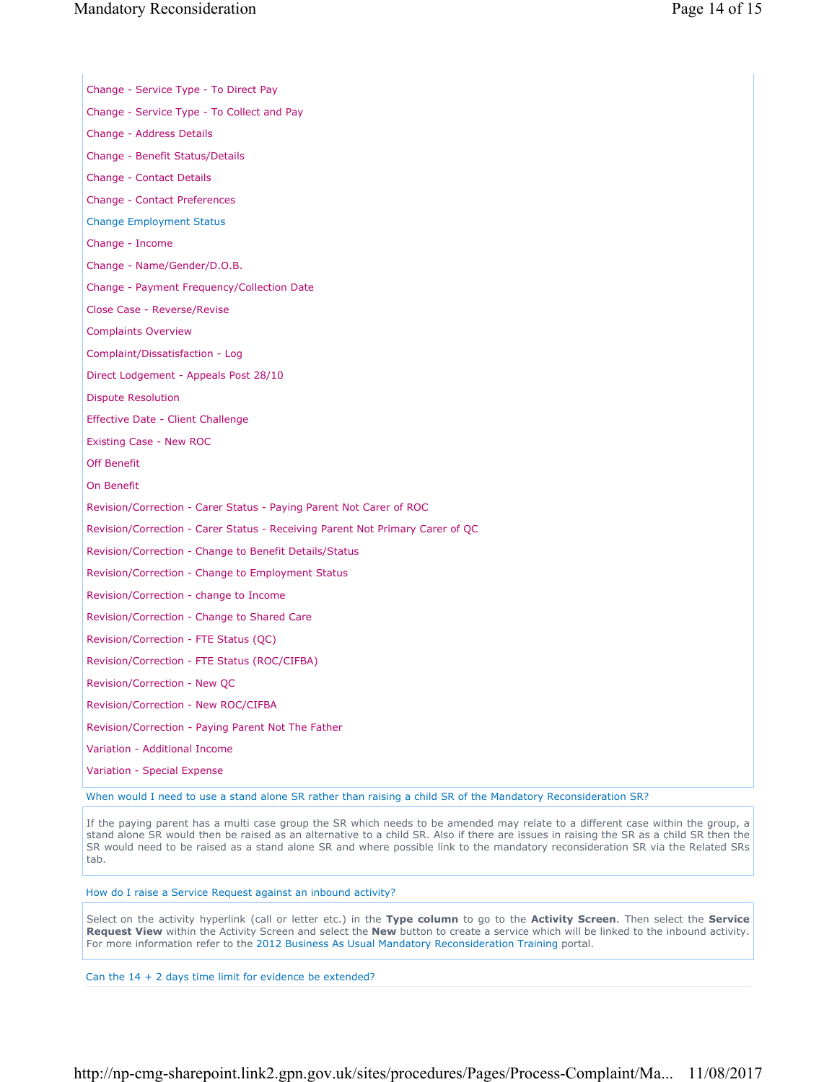| Change - Service Type - To Direct Pay                                                                         |
|---------------------------------------------------------------------------------------------------------------|
| Change - Service Type - To Collect and Pay                                                                    |
| Change - Address Details                                                                                      |
| Change - Benefit Status/Details                                                                               |
| Change - Contact Details                                                                                      |
| Change - Contact Preferences                                                                                  |
| <b>Change Employment Status</b>                                                                               |
| Change - Income                                                                                               |
| Change - Name/Gender/D.O.B.                                                                                   |
| Change - Payment Frequency/Collection Date                                                                    |
| Close Case - Reverse/Revise                                                                                   |
| <b>Complaints Overview</b>                                                                                    |
| Complaint/Dissatisfaction - Log                                                                               |
| Direct Lodgement - Appeals Post 28/10                                                                         |
| <b>Dispute Resolution</b>                                                                                     |
| Effective Date - Client Challenge                                                                             |
| Existing Case - New ROC                                                                                       |
| <b>Off Benefit</b>                                                                                            |
| On Benefit                                                                                                    |
| Revision/Correction - Carer Status - Paying Parent Not Carer of ROC                                           |
| Revision/Correction - Carer Status - Receiving Parent Not Primary Carer of QC                                 |
| Revision/Correction - Change to Benefit Details/Status                                                        |
| Revision/Correction - Change to Employment Status                                                             |
| Revision/Correction - change to Income                                                                        |
| Revision/Correction - Change to Shared Care                                                                   |
| Revision/Correction - FTE Status (QC)                                                                         |
| Revision/Correction - FTE Status (ROC/CIFBA)                                                                  |
| Revision/Correction - New QC                                                                                  |
| Revision/Correction - New ROC/CIFBA                                                                           |
| Revision/Correction - Paying Parent Not The Father                                                            |
| Variation - Additional Income                                                                                 |
| Variation - Special Expense                                                                                   |
| When would I need to use a stand alone SR rather than raising a child SR of the Mandatory Reconsideration SR? |

If the paying parent has a multi case group the SR which needs to be amended may relate to a different case within the group, a stand alone SR would then be raised as an alternative to a child SR. Also if there are issues in raising the SR as a child SR then the SR would need to be raised as a stand alone SR and where possible link to the mandatory reconsideration SR via the Related SRs tab.

How do I raise a Service Request against an inbound activity?

Select on the activity hyperlink (call or letter etc.) in the **Type column** to go to the **Activity Screen**. Then select the **Service Request View** within the Activity Screen and select the **New** button to create a service which will be linked to the inbound activity. For more information refer to the 2012 Business As Usual Mandatory Reconsideration Training portal.

Can the 14 + 2 days time limit for evidence be extended?